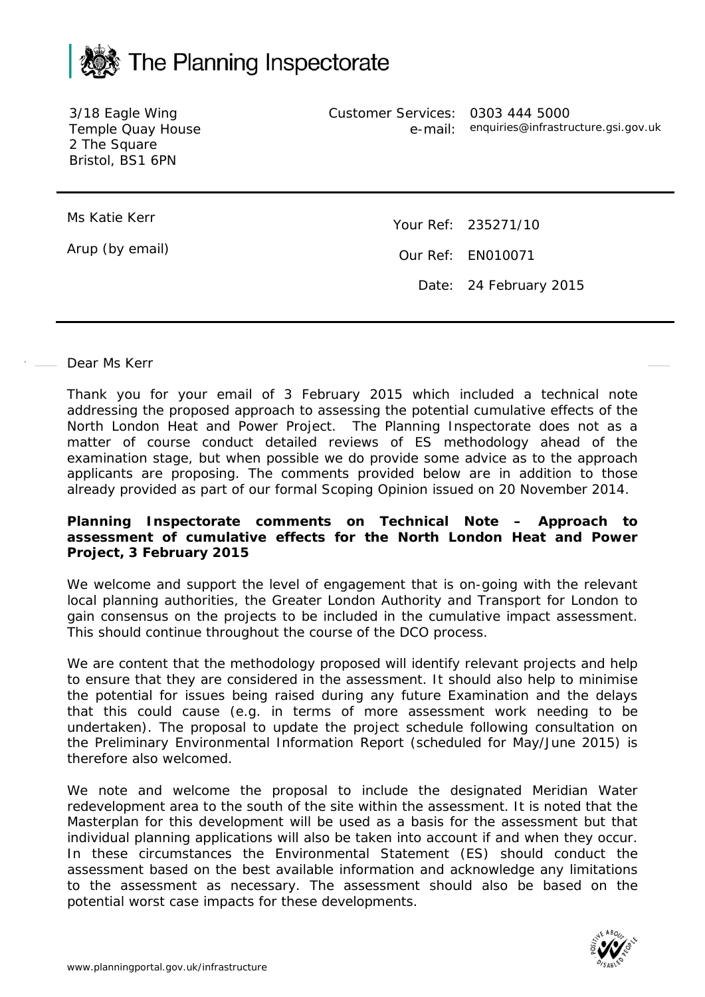

3/18 Eagle Wing Temple Quay House 2 The Square Bristol, BS1 6PN

Customer Services: e-mail: 0303 444 5000 enquiries@infrastructure.gsi.gov.uk

Ms Katie Kerr

Arup (by email)

Your Ref: 235271/10 Our Ref: EN010071 Date: 24 February 2015

## Dear Ms Kerr

Thank you for your email of 3 February 2015 which included a technical note addressing the proposed approach to assessing the potential cumulative effects of the North London Heat and Power Project. The Planning Inspectorate does not as a matter of course conduct detailed reviews of ES methodology ahead of the examination stage, but when possible we do provide some advice as to the approach applicants are proposing. The comments provided below are in addition to those already provided as part of our formal Scoping Opinion issued on 20 November 2014.

## **Planning Inspectorate comments on Technical Note – Approach to assessment of cumulative effects for the North London Heat and Power Project, 3 February 2015**

We welcome and support the level of engagement that is on-going with the relevant local planning authorities, the Greater London Authority and Transport for London to gain consensus on the projects to be included in the cumulative impact assessment. This should continue throughout the course of the DCO process.

We are content that the methodology proposed will identify relevant projects and help to ensure that they are considered in the assessment. It should also help to minimise the potential for issues being raised during any future Examination and the delays that this could cause (e.g. in terms of more assessment work needing to be undertaken). The proposal to update the project schedule following consultation on the Preliminary Environmental Information Report (scheduled for May/June 2015) is therefore also welcomed.

We note and welcome the proposal to include the designated Meridian Water redevelopment area to the south of the site within the assessment. It is noted that the Masterplan for this development will be used as a basis for the assessment but that individual planning applications will also be taken into account if and when they occur. In these circumstances the Environmental Statement (ES) should conduct the assessment based on the best available information and acknowledge any limitations to the assessment as necessary. The assessment should also be based on the potential worst case impacts for these developments.